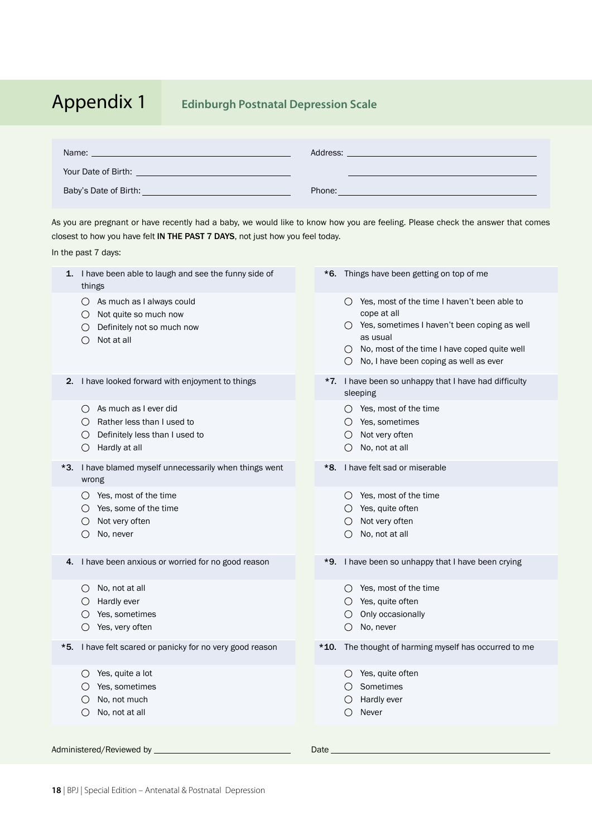# Appendix 1 **Edinburgh Postnatal Depression Scale**

| Name:                 | Address: |
|-----------------------|----------|
| Your Date of Birth:   |          |
| Baby's Date of Birth: | Phone:   |

As you are pregnant or have recently had a baby, we would like to know how you are feeling. Please check the answer that comes closest to how you have felt IN THE PAST 7 DAYS, not just how you feel today. In the past 7 days:

| 1.  | I have been able to laugh and see the funny side of<br>things                                                                                                            |      | *6. Things have been getting on top of me                                                                                                                                                                                                                     |
|-----|--------------------------------------------------------------------------------------------------------------------------------------------------------------------------|------|---------------------------------------------------------------------------------------------------------------------------------------------------------------------------------------------------------------------------------------------------------------|
|     | $\bigcirc$ As much as I always could<br>Not quite so much now<br>$\circlearrowright$<br>Definitely not so much now<br>$\left( \right)$<br>Not at all<br>$\left( \right)$ |      | $\bigcirc$ Yes, most of the time I haven't been able to<br>cope at all<br>$\bigcirc$ Yes, sometimes I haven't been coping as well<br>as usual<br>$\bigcirc$ No, most of the time I have coped quite well<br>$\bigcirc$ No, I have been coping as well as ever |
| 2.  | I have looked forward with enjoyment to things                                                                                                                           |      | *7. I have been so unhappy that I have had difficulty<br>sleeping                                                                                                                                                                                             |
|     | As much as I ever did<br>$\left( \right)$<br>Rather less than I used to<br>Definitely less than I used to<br>Hardly at all<br>$\left(\right)$                            |      | $\bigcirc$ Yes, most of the time<br>$\bigcirc$ Yes, sometimes<br>Not very often<br>No, not at all                                                                                                                                                             |
| *3. | I have blamed myself unnecessarily when things went<br>wrong                                                                                                             | *8.  | I have felt sad or miserable                                                                                                                                                                                                                                  |
|     | $\bigcirc$ Yes, most of the time<br>Yes, some of the time<br>Not very often<br>No, never<br>$\circ$                                                                      |      | $\bigcirc$ Yes, most of the time<br>$\bigcirc$ Yes, quite often<br>Not very often<br>$\left( \right)$<br>No, not at all<br>$\bigcirc$                                                                                                                         |
| 4.  | I have been anxious or worried for no good reason                                                                                                                        | *9.  | I have been so unhappy that I have been crying                                                                                                                                                                                                                |
|     | $\bigcirc$ No, not at all<br>$\bigcirc$ Hardly ever<br>Yes, sometimes<br>$\circ$<br>Yes, very often<br>O                                                                 |      | $\bigcirc$ Yes, most of the time<br>$\bigcirc$ Yes, quite often<br>Only occasionally<br>$\bigcirc$<br>No, never<br>O                                                                                                                                          |
| *5. | I have felt scared or panicky for no very good reason                                                                                                                    |      | *10. The thought of harming myself has occurred to me                                                                                                                                                                                                         |
|     | Yes, quite a lot<br>$\circ$<br>Yes, sometimes<br>Ő<br>No, not much<br>$\left(\right)$<br>No, not at all<br>$\bigcirc$                                                    |      | $\bigcirc$ Yes, quite often<br>$\bigcirc$ Sometimes<br>$\bigcirc$ Hardly ever<br>Ω<br>Never                                                                                                                                                                   |
|     | Administered/Reviewed by ___________                                                                                                                                     | Date |                                                                                                                                                                                                                                                               |
|     |                                                                                                                                                                          |      |                                                                                                                                                                                                                                                               |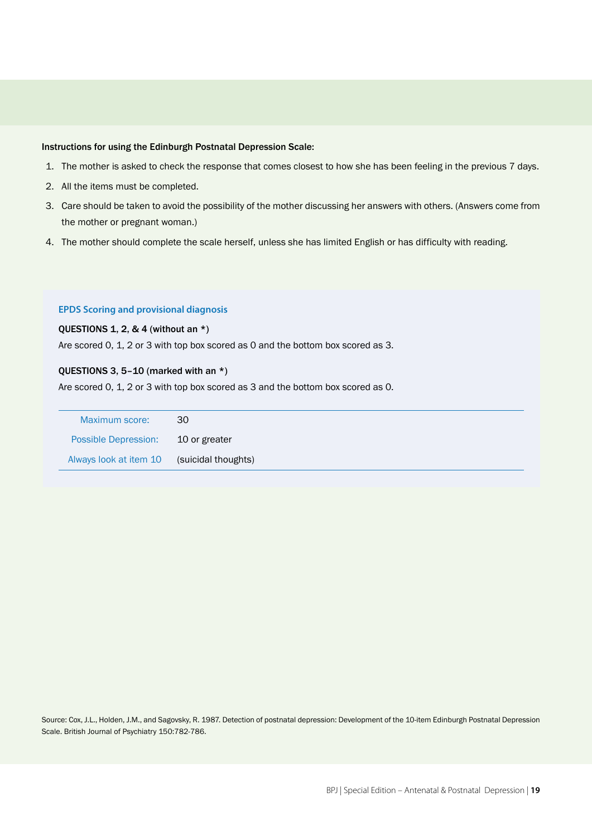# Instructions for using the Edinburgh Postnatal Depression Scale:

- 1. The mother is asked to check the response that comes closest to how she has been feeling in the previous 7 days.
- 2. All the items must be completed.
- 3. Care should be taken to avoid the possibility of the mother discussing her answers with others. (Answers come from the mother or pregnant woman.)
- 4. The mother should complete the scale herself, unless she has limited English or has difficulty with reading.

## **EPDS Scoring and provisional diagnosis**

## QUESTIONS 1, 2, & 4 (without an  $*$ )

Are scored 0, 1, 2 or 3 with top box scored as 0 and the bottom box scored as 3.

## QUESTIONS 3, 5–10 (marked with an \*)

Are scored 0, 1, 2 or 3 with top box scored as 3 and the bottom box scored as 0.

| Maximum score:              | 30                  |
|-----------------------------|---------------------|
| <b>Possible Depression:</b> | 10 or greater       |
| Always look at item 10      | (suicidal thoughts) |

Source: Cox, J.L., Holden, J.M., and Sagovsky, R. 1987. Detection of postnatal depression: Development of the 10-item Edinburgh Postnatal Depression Scale. British Journal of Psychiatry 150:782-786.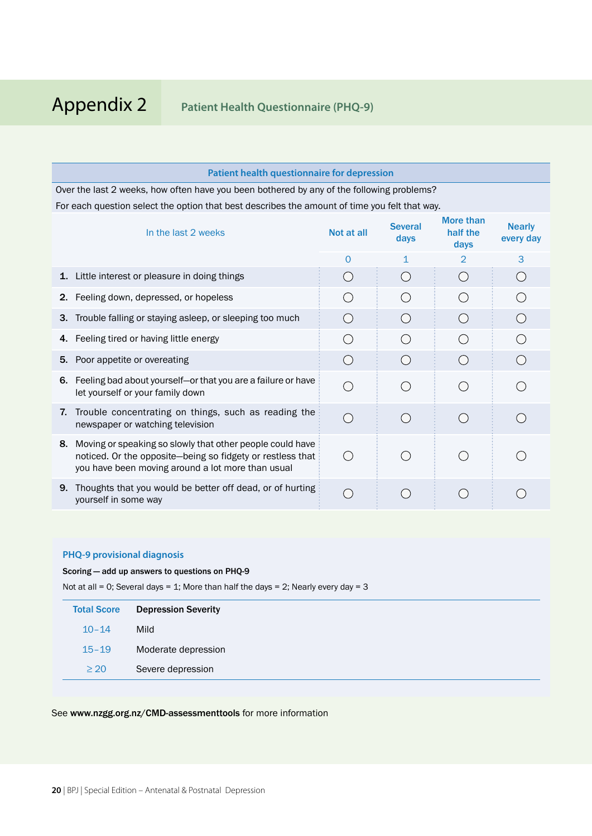|                                                                                           | <b>Patient health questionnaire for depression</b>                                                                                                                           |            |                        |                                             |                            |  |
|-------------------------------------------------------------------------------------------|------------------------------------------------------------------------------------------------------------------------------------------------------------------------------|------------|------------------------|---------------------------------------------|----------------------------|--|
| Over the last 2 weeks, how often have you been bothered by any of the following problems? |                                                                                                                                                                              |            |                        |                                             |                            |  |
|                                                                                           | For each question select the option that best describes the amount of time you felt that way.                                                                                |            |                        |                                             |                            |  |
|                                                                                           | In the last 2 weeks                                                                                                                                                          | Not at all | <b>Several</b><br>days | More than<br>half the<br>days               | <b>Nearly</b><br>every day |  |
|                                                                                           |                                                                                                                                                                              | $\Omega$   | 1                      | $\mathfrak{D}$                              | 3                          |  |
| 1.                                                                                        | Little interest or pleasure in doing things                                                                                                                                  | $($ )      |                        | $\left(\begin{array}{c} \end{array}\right)$ |                            |  |
| 2.                                                                                        | Feeling down, depressed, or hopeless                                                                                                                                         |            |                        | ( )                                         |                            |  |
| З.                                                                                        | Trouble falling or staying asleep, or sleeping too much                                                                                                                      |            |                        |                                             |                            |  |
| 4.                                                                                        | Feeling tired or having little energy                                                                                                                                        |            |                        |                                             |                            |  |
| 5.                                                                                        | Poor appetite or overeating                                                                                                                                                  |            |                        |                                             |                            |  |
| 6.                                                                                        | Feeling bad about yourself-or that you are a failure or have<br>let yourself or your family down                                                                             |            |                        |                                             |                            |  |
| 7.                                                                                        | Trouble concentrating on things, such as reading the<br>newspaper or watching television                                                                                     |            |                        |                                             |                            |  |
| 8.                                                                                        | Moving or speaking so slowly that other people could have<br>noticed. Or the opposite-being so fidgety or restless that<br>you have been moving around a lot more than usual |            |                        |                                             |                            |  |
| 9.                                                                                        | Thoughts that you would be better off dead, or of hurting<br>yourself in some way                                                                                            |            |                        |                                             |                            |  |

# **PHQ-9 provisional diagnosis**

Scoring — add up answers to questions on PHQ-9

Not at all = 0; Several days = 1; More than half the days = 2; Nearly every day = 3

| <b>Total Score</b> | <b>Depression Severity</b> |
|--------------------|----------------------------|
| $10 - 14$          | Mild                       |
| $15 - 19$          | Moderate depression        |
| $\geq 20$          | Severe depression          |

# See www.nzgg.org.nz/CMD-assessmenttools for more information